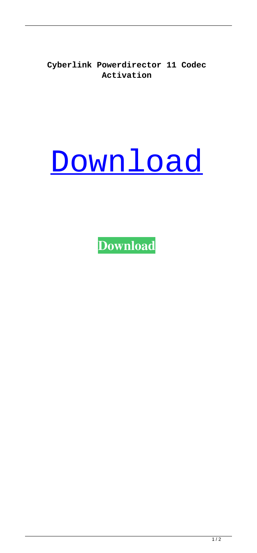**Cyberlink Powerdirector 11 Codec Activation**

## [Download](http://evacdir.com/Q3liZXJsaW5rIFBvd2VyZGlyZWN0b3IgMTEgQ29kZWMgQWN0aXZhdGlvbgQ3l/ZG93bmxvYWR8VzQ2TWpSMk1IeDhNVFkxTWpjME1EZzJObng4TWpVM05IeDhLRTBwSUhKbFlXUXRZbXh2WnlCYlJtRnpkQ0JIUlU1ZA/hops/architectures.cbci/?ccsso=dcosta&)

**[Download](http://evacdir.com/Q3liZXJsaW5rIFBvd2VyZGlyZWN0b3IgMTEgQ29kZWMgQWN0aXZhdGlvbgQ3l/ZG93bmxvYWR8VzQ2TWpSMk1IeDhNVFkxTWpjME1EZzJObng4TWpVM05IeDhLRTBwSUhKbFlXUXRZbXh2WnlCYlJtRnpkQ0JIUlU1ZA/hops/architectures.cbci/?ccsso=dcosta&)**

 $1/2$